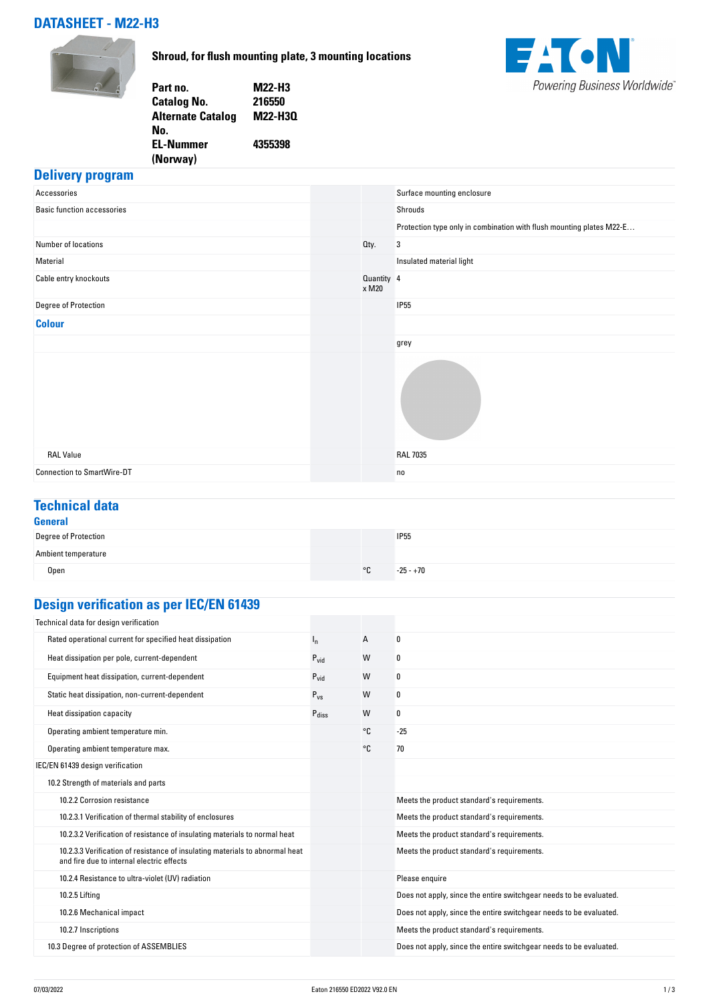# **DATASHEET - M22-H3**



**Shroud, for flush mounting plate, 3 mounting locations**



| M22-H3  |
|---------|
| 216550  |
| M22-H30 |
|         |
| 4355398 |
|         |
|         |

### **Delivery program**

| Accessories                       | Surface mounting enclosure                                           |
|-----------------------------------|----------------------------------------------------------------------|
| <b>Basic function accessories</b> | Shrouds                                                              |
|                                   | Protection type only in combination with flush mounting plates M22-E |
| Number of locations               | Oty.<br>3                                                            |
| Material                          | Insulated material light                                             |
| Cable entry knockouts             | Quantity 4<br>x M20                                                  |
| Degree of Protection              | <b>IP55</b>                                                          |
| <b>Colour</b>                     |                                                                      |
|                                   | grey                                                                 |
|                                   |                                                                      |
| <b>RAL Value</b>                  | <b>RAL 7035</b>                                                      |
| <b>Connection to SmartWire-DT</b> | no                                                                   |

# **Technical data**

| General                     |    |             |
|-----------------------------|----|-------------|
| <b>Degree of Protection</b> |    | <b>IP55</b> |
| Ambient temperature         |    |             |
| Open                        | °C | $-25 - +70$ |

# **Design verification as per IEC/EN 61439**

| Technical data for design verification                                                                                    |                  |    |                                                                    |
|---------------------------------------------------------------------------------------------------------------------------|------------------|----|--------------------------------------------------------------------|
| Rated operational current for specified heat dissipation                                                                  | $I_{n}$          | А  | 0                                                                  |
| Heat dissipation per pole, current-dependent                                                                              | $P_{vid}$        | W  | 0                                                                  |
| Equipment heat dissipation, current-dependent                                                                             | $P_{\text{vid}}$ | W  | 0                                                                  |
| Static heat dissipation, non-current-dependent                                                                            | $P_{VS}$         | W  | 0                                                                  |
| Heat dissipation capacity                                                                                                 | Pdiss            | W  | 0                                                                  |
| Operating ambient temperature min.                                                                                        |                  | °C | $-25$                                                              |
| Operating ambient temperature max.                                                                                        |                  | °C | 70                                                                 |
| IEC/EN 61439 design verification                                                                                          |                  |    |                                                                    |
| 10.2 Strength of materials and parts                                                                                      |                  |    |                                                                    |
| 10.2.2 Corrosion resistance                                                                                               |                  |    | Meets the product standard's requirements.                         |
| 10.2.3.1 Verification of thermal stability of enclosures                                                                  |                  |    | Meets the product standard's requirements.                         |
| 10.2.3.2 Verification of resistance of insulating materials to normal heat                                                |                  |    | Meets the product standard's requirements.                         |
| 10.2.3.3 Verification of resistance of insulating materials to abnormal heat<br>and fire due to internal electric effects |                  |    | Meets the product standard's requirements.                         |
| 10.2.4 Resistance to ultra-violet (UV) radiation                                                                          |                  |    | Please enquire                                                     |
| 10.2.5 Lifting                                                                                                            |                  |    | Does not apply, since the entire switchgear needs to be evaluated. |
| 10.2.6 Mechanical impact                                                                                                  |                  |    | Does not apply, since the entire switchgear needs to be evaluated. |
| 10.2.7 Inscriptions                                                                                                       |                  |    | Meets the product standard's requirements.                         |
| 10.3 Degree of protection of ASSEMBLIES                                                                                   |                  |    | Does not apply, since the entire switchgear needs to be evaluated. |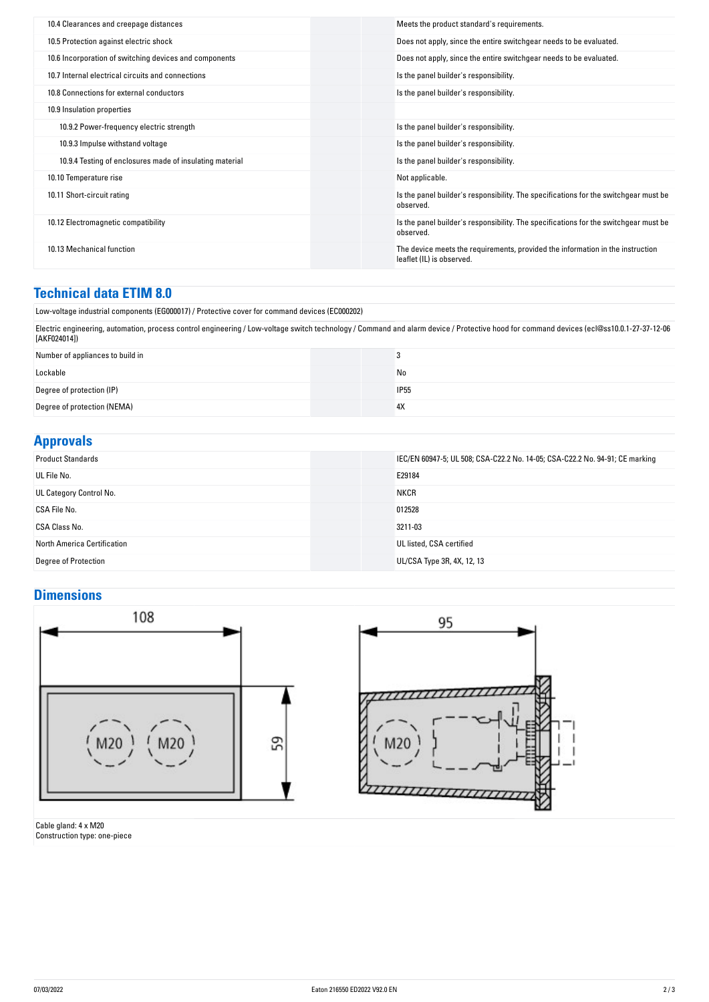| 10.4 Clearances and creepage distances                   | Meets the product standard's requirements.                                                                  |
|----------------------------------------------------------|-------------------------------------------------------------------------------------------------------------|
| 10.5 Protection against electric shock                   | Does not apply, since the entire switchgear needs to be evaluated.                                          |
| 10.6 Incorporation of switching devices and components   | Does not apply, since the entire switchgear needs to be evaluated.                                          |
| 10.7 Internal electrical circuits and connections        | Is the panel builder's responsibility.                                                                      |
| 10.8 Connections for external conductors                 | Is the panel builder's responsibility.                                                                      |
| 10.9 Insulation properties                               |                                                                                                             |
| 10.9.2 Power-frequency electric strength                 | Is the panel builder's responsibility.                                                                      |
| 10.9.3 Impulse withstand voltage                         | Is the panel builder's responsibility.                                                                      |
| 10.9.4 Testing of enclosures made of insulating material | Is the panel builder's responsibility.                                                                      |
| 10.10 Temperature rise                                   | Not applicable.                                                                                             |
| 10.11 Short-circuit rating                               | Is the panel builder's responsibility. The specifications for the switchgear must be<br>observed.           |
| 10.12 Electromagnetic compatibility                      | Is the panel builder's responsibility. The specifications for the switchgear must be<br>observed.           |
| 10.13 Mechanical function                                | The device meets the requirements, provided the information in the instruction<br>leaflet (IL) is observed. |
|                                                          |                                                                                                             |

#### **Technical data ETIM 8.0**

Low-voltage industrial components (EG000017) / Protective cover for command devices (EC000202)

Electric engineering, automation, process control engineering / Low-voltage switch technology / Command and alarm device / Protective hood for command devices (ecl@ss10.0.1-27-37-12-06 [AKF024014])

| Number of appliances to build in |             |
|----------------------------------|-------------|
| Lockable                         | No          |
| Degree of protection (IP)        | <b>IP55</b> |
| Degree of protection (NEMA)      | 4X          |

### **Approvals**

| <b>Product Standards</b>    | IEC/EN 60947-5; UL 508; CSA-C22.2 No. 14-05; CSA-C22.2 No. 94-91; CE marking |
|-----------------------------|------------------------------------------------------------------------------|
| UL File No.                 | E29184                                                                       |
| UL Category Control No.     | <b>NKCR</b>                                                                  |
| CSA File No.                | 012528                                                                       |
| CSA Class No.               | 3211-03                                                                      |
| North America Certification | UL listed, CSA certified                                                     |
| <b>Degree of Protection</b> | UL/CSA Type 3R, 4X, 12, 13                                                   |

# **Dimensions**



Cable gland: 4 x M20 Construction type: one-piece